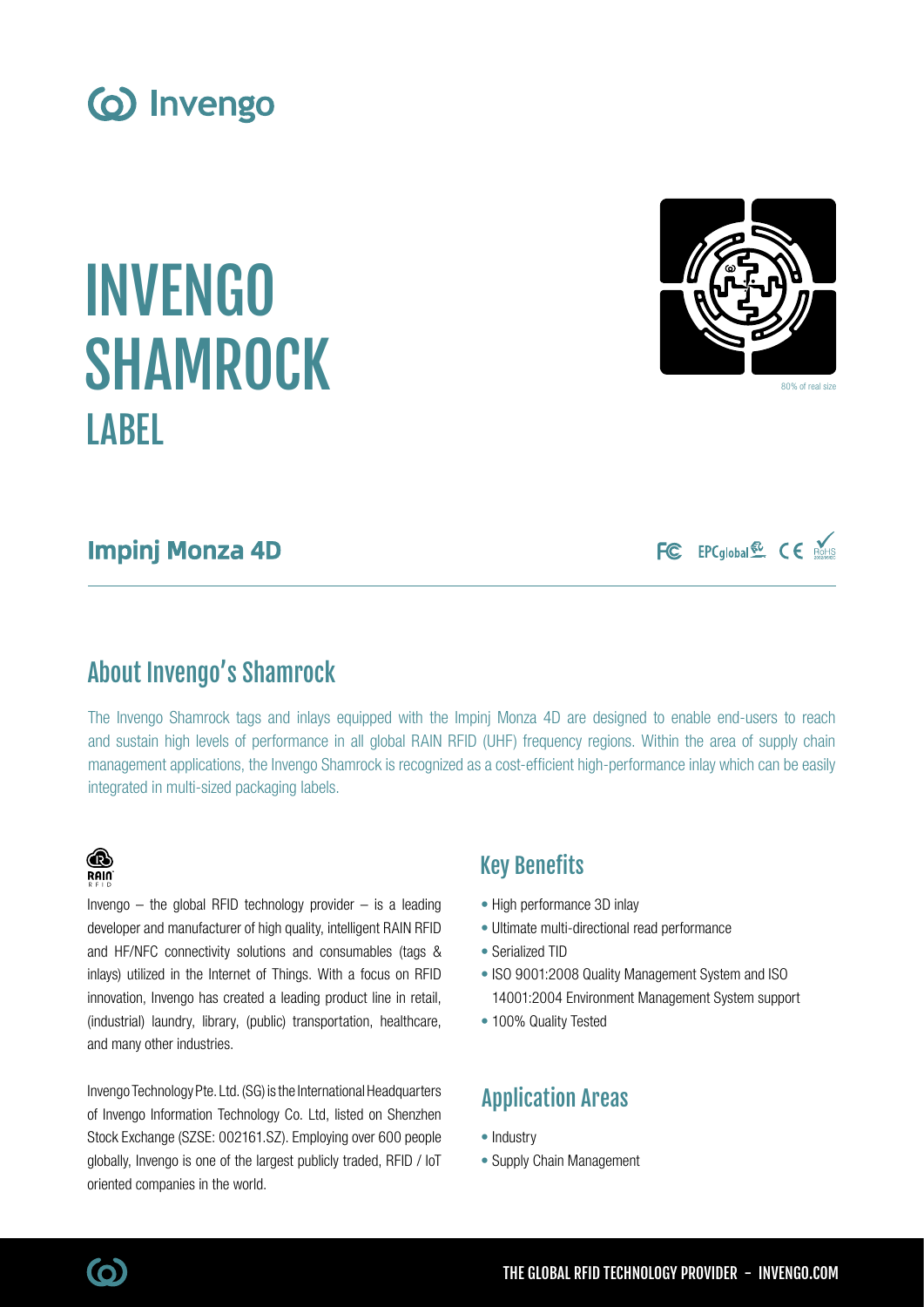# INVENGO SHAMROCK **LABEL**

### Impinj Monza 4D

# About Invengo's Shamrock

Invengo  $-$  the global RFID technology provider  $-$  is a leading developer and manufacturer of high quality, intelligent RAIN RFID and HF/NFC connectivity solutions and consumables (tags & inlays) utilized in the Internet of Things. With a focus on RFID innovation, Invengo has created a leading product line in retail, (industrial) laundry, library, (public) transportation, healthcare,

Invengo Technology Pte. Ltd. (SG) is the International Headquarters of Invengo Information Technology Co. Ltd, listed on Shenzhen Stock Exchange (SZSE: 002161.SZ). Employing over 600 people globally, Invengo is one of the largest publicly traded, RFID / IoT

The Invengo Shamrock tags and inlays equipped with the Impinj Monza 4D are designed to enable end-users to reach and sustain high levels of performance in all global RAIN RFID (UHF) frequency regions. Within the area of supply chain management applications, the Invengo Shamrock is recognized as a cost-efficient high-performance inlay which can be easily integrated in multi-sized packaging labels.

### Key Benefits

- High performance 3D inlay
- Ultimate multi-directional read performance
- Serialized TID
- ISO 9001:2008 Quality Management System and ISO 14001:2004 Environment Management System support
- 100% Quality Tested

# Application Areas

- Industry
- Supply Chain Management









**B RAIN** 

and many other industries.

oriented companies in the world.